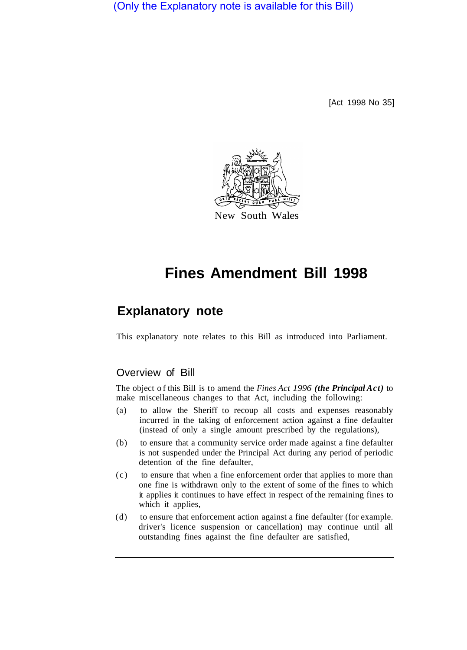(Only the Explanatory note is available for this Bill)

[Act 1998 No 35]



# **Fines Amendment Bill 1998**

# **Explanatory note**

This explanatory note relates to this Bill as introduced into Parliament.

## Overview of Bill

The object of this Bill is to amend the *Fines Act 1996 (the Principal Act)* to make miscellaneous changes to that Act, including the following:

- (a) to allow the Sheriff to recoup all costs and expenses reasonably incurred in the taking of enforcement action against a fine defaulter (instead of only a single amount prescribed by the regulations),
- (b) to ensure that a community service order made against a fine defaulter is not suspended under the Principal Act during any period of periodic detention of the fine defaulter,
- (c) to ensure that when a fine enforcement order that applies to more than one fine is withdrawn only to the extent of some of the fines to which it applies it continues to have effect in respect of the remaining fines to which it applies,
- (d) to ensure that enforcement action against a fine defaulter (for example. driver's licence suspension or cancellation) may continue until all outstanding fines against the fine defaulter are satisfied,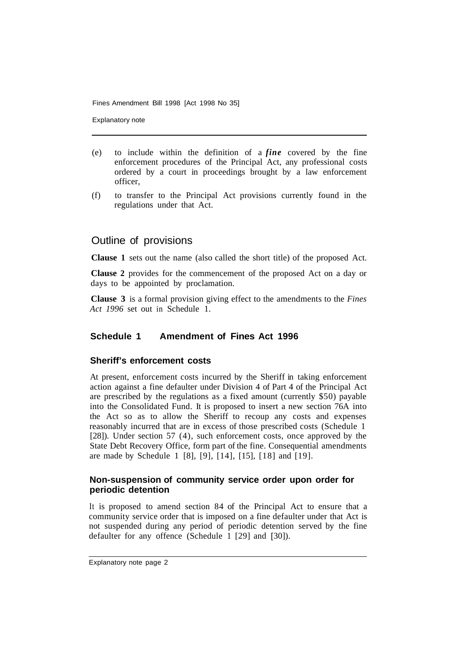Explanatory note

- (e) to include within the definition of a *fine* covered by the fine enforcement procedures of the Principal Act, any professional costs ordered by a court in proceedings brought by a law enforcement officer,
- (f) to transfer to the Principal Act provisions currently found in the regulations under that Act.

### Outline of provisions

**Clause 1** sets out the name (also called the short title) of the proposed Act.

**Clause 2** provides for the commencement of the proposed Act on a day or days to be appointed by proclamation.

**Clause 3** is a formal provision giving effect to the amendments to the *Fines Act 1996* set out in Schedule 1.

#### **Schedule 1 Amendment of Fines Act 1996**

#### **Sheriff's enforcement costs**

At present, enforcement costs incurred by the Sheriff in taking enforcement action against a fine defaulter under Division 4 of Part 4 of the Principal Act are prescribed by the regulations as a fixed amount (currently \$50) payable into the Consolidated Fund. It is proposed to insert a new section 76A into the Act so as to allow the Sheriff to recoup any costs and expenses reasonably incurred that are in excess of those prescribed costs (Schedule 1 [28]). Under section 57 (4), such enforcement costs, once approved by the State Debt Recovery Office, form part of the fine. Consequential amendments are made by Schedule 1 [8], [9], [14], [15], [18] and [19].

#### **Non-suspension of community service order upon order for periodic detention**

It is proposed to amend section 84 of the Principal Act to ensure that a community service order that is imposed on a fine defaulter under that Act is not suspended during any period of periodic detention served by the fine defaulter for any offence (Schedule  $\overline{1}$  [29] and [30]).

Explanatory note page 2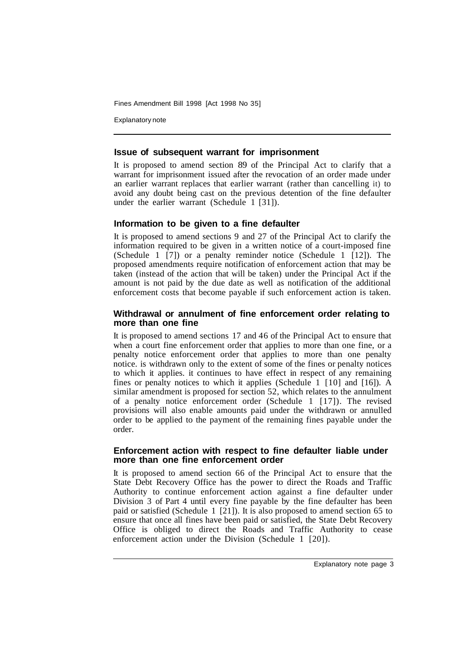Explanatory note

#### **Issue of subsequent warrant for imprisonment**

It is proposed to amend section 89 of the Principal Act to clarify that a warrant for imprisonment issued after the revocation of an order made under an earlier warrant replaces that earlier warrant (rather than cancelling it) to avoid any doubt being cast on the previous detention of the fine defaulter under the earlier warrant (Schedule 1 [31]).

#### **Information to be given to a fine defaulter**

It is proposed to amend sections 9 and 27 of the Principal Act to clarify the information required to be given in a written notice of a court-imposed fine (Schedule 1  $\overline{7}$ ) or a penalty reminder notice (Schedule 1  $\overline{1}$  12). The proposed amendments require notification of enforcement action that may be taken (instead of the action that will be taken) under the Principal Act if the amount is not paid by the due date as well as notification of the additional enforcement costs that become payable if such enforcement action is taken.

#### **Withdrawal or annulment of fine enforcement order relating to more than one fine**

It is proposed to amend sections 17 and 46 of the Principal Act to ensure that when a court fine enforcement order that applies to more than one fine, or a penalty notice enforcement order that applies to more than one penalty notice. is withdrawn only to the extent of some of the fines or penalty notices to which it applies. it continues to have effect in respect of any remaining fines or penalty notices to which it applies (Schedule 1 [10] and [16]). A similar amendment is proposed for section 52, which relates to the annulment of a penalty notice enforcement order (Schedule 1 [17]). The revised provisions will also enable amounts paid under the withdrawn or annulled order to be applied to the payment of the remaining fines payable under the order.

#### **Enforcement action with respect to fine defaulter liable under more than one fine enforcement order**

It is proposed to amend section 66 of the Principal Act to ensure that the State Debt Recovery Office has the power to direct the Roads and Traffic Authority to continue enforcement action against a fine defaulter under Division 3 of Part 4 until every fine payable by the fine defaulter has been paid or satisfied (Schedule 1 [21]). It is also proposed to amend section 65 to ensure that once all fines have been paid or satisfied, the State Debt Recovery Office is obliged to direct the Roads and Traffic Authority to cease enforcement action under the Division (Schedule 1 [20]).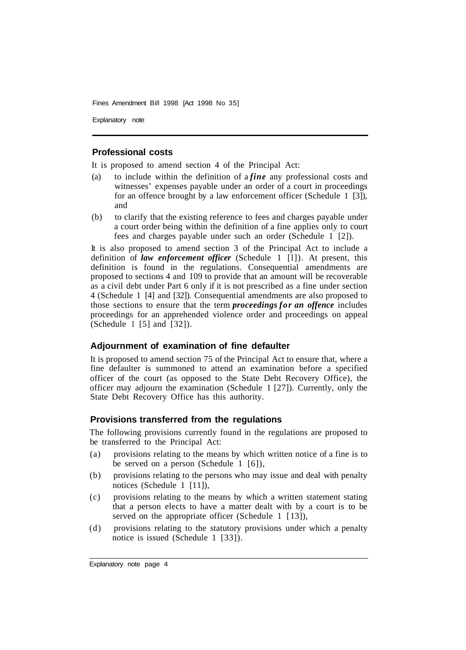Explanatory note

#### **Professional costs**

It is proposed to amend section 4 of the Principal Act:

- (a) to include within the definition of a *fine* any professional costs and witnesses' expenses payable under an order of a court in proceedings for an offence brought by a law enforcement officer (Schedule 1 [3]), and
- (b) to clarify that the existing reference to fees and charges payable under a court order being within the definition of a fine applies only to court fees and charges payable under such an order (Schedule 1 [2]).

It is also proposed to amend section 3 of the Principal Act to include a definition of *law enforcement officer* (Schedule 1 [l]). At present, this definition is found in the regulations. Consequential amendments are proposed to sections 4 and 109 to provide that an amount will be recoverable as a civil debt under Part 6 only if it is not prescribed as a fine under section 4 (Schedule 1 [4] and [32]). Consequential amendments are also proposed to those sections to ensure that the term *proceedings for an offence* includes proceedings for an apprehended violence order and proceedings on appeal (Schedule 1 [5] and [32]).

#### **Adjournment of examination of fine defaulter**

It is proposed to amend section 75 of the Principal Act to ensure that, where a fine defaulter is summoned to attend an examination before a specified officer of the court (as opposed to the State Debt Recovery Office), the officer may adjourn the examination (Schedule 1 [27]). Currently, only the State Debt Recovery Office has this authority.

#### **Provisions transferred from the regulations**

The following provisions currently found in the regulations are proposed to be transferred to the Principal Act:

- (a) provisions relating to the means by which written notice of a fine is to be served on a person (Schedule 1 [6]),
- (b) provisions relating to the persons who may issue and deal with penalty notices (Schedule 1 [11]),
- (c) provisions relating to the means by which a written statement stating that a person elects to have a matter dealt with by a court is to be served on the appropriate officer (Schedule 1 [13]),
- (d) provisions relating to the statutory provisions under which a penalty notice is issued (Schedule 1 [33]).

Explanatory note page 4